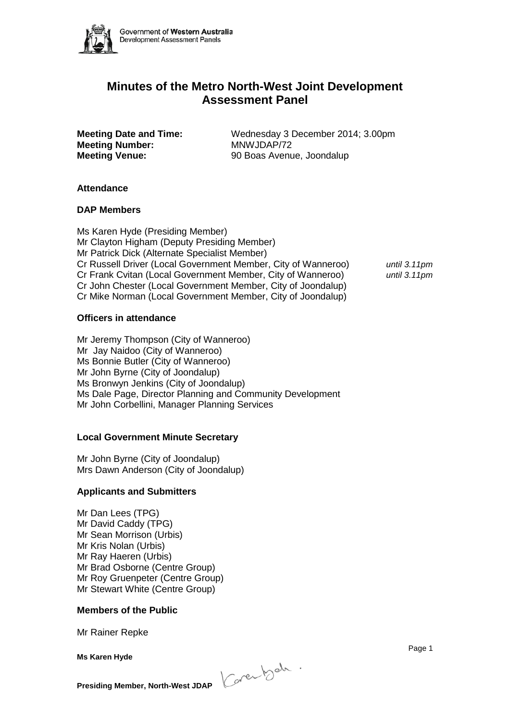

# **Minutes of the Metro North-West Joint Development Assessment Panel**

**Meeting Number:** MNWJDAP/72

**Meeting Date and Time:** Wednesday 3 December 2014; 3.00pm **Meeting Venue:** 90 Boas Avenue, Joondalup

## **Attendance**

## **DAP Members**

Ms Karen Hyde (Presiding Member) Mr Clayton Higham (Deputy Presiding Member) Mr Patrick Dick (Alternate Specialist Member) Cr Russell Driver (Local Government Member, City of Wanneroo) *until 3.11pm* Cr Frank Cvitan (Local Government Member, City of Wanneroo) *until 3.11pm* Cr John Chester (Local Government Member, City of Joondalup) Cr Mike Norman (Local Government Member, City of Joondalup)

## **Officers in attendance**

Mr Jeremy Thompson (City of Wanneroo) Mr Jay Naidoo (City of Wanneroo) Ms Bonnie Butler (City of Wanneroo) Mr John Byrne (City of Joondalup) Ms Bronwyn Jenkins (City of Joondalup) Ms Dale Page, Director Planning and Community Development Mr John Corbellini, Manager Planning Services

## **Local Government Minute Secretary**

Mr John Byrne (City of Joondalup) Mrs Dawn Anderson (City of Joondalup)

## **Applicants and Submitters**

Mr Dan Lees (TPG) Mr David Caddy (TPG) Mr Sean Morrison (Urbis) Mr Kris Nolan (Urbis) Mr Ray Haeren (Urbis) Mr Brad Osborne (Centre Group) Mr Roy Gruenpeter (Centre Group) Mr Stewart White (Centre Group)

## **Members of the Public**

Mr Rainer Repke

**Ms Karen Hyde**

**Presiding Member, North-West JDAP** *Conewhack*.

e de la provincia de la provincia de la provincia de la provincia de la provincia de la provincia de la provinci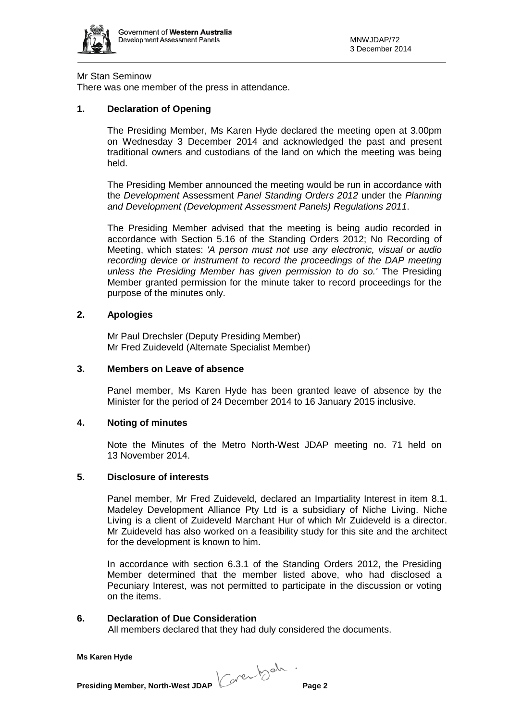

### Mr Stan Seminow

There was one member of the press in attendance.

## **1. Declaration of Opening**

The Presiding Member, Ms Karen Hyde declared the meeting open at 3.00pm on Wednesday 3 December 2014 and acknowledged the past and present traditional owners and custodians of the land on which the meeting was being held.

The Presiding Member announced the meeting would be run in accordance with the *Development* Assessment *Panel Standing Orders 2012* under the *Planning and Development (Development Assessment Panels) Regulations 2011*.

The Presiding Member advised that the meeting is being audio recorded in accordance with Section 5.16 of the Standing Orders 2012; No Recording of Meeting, which states: *'A person must not use any electronic, visual or audio recording device or instrument to record the proceedings of the DAP meeting unless the Presiding Member has given permission to do so.'* The Presiding Member granted permission for the minute taker to record proceedings for the purpose of the minutes only.

## **2. Apologies**

Mr Paul Drechsler (Deputy Presiding Member) Mr Fred Zuideveld (Alternate Specialist Member)

## **3. Members on Leave of absence**

Panel member, Ms Karen Hyde has been granted leave of absence by the Minister for the period of 24 December 2014 to 16 January 2015 inclusive.

## **4. Noting of minutes**

Note the Minutes of the Metro North-West JDAP meeting no. 71 held on 13 November 2014.

#### **5. Disclosure of interests**

Panel member, Mr Fred Zuideveld, declared an Impartiality Interest in item 8.1. Madeley Development Alliance Pty Ltd is a subsidiary of Niche Living. Niche Living is a client of Zuideveld Marchant Hur of which Mr Zuideveld is a director. Mr Zuideveld has also worked on a feasibility study for this site and the architect for the development is known to him.

In accordance with section 6.3.1 of the Standing Orders 2012, the Presiding Member determined that the member listed above, who had disclosed a Pecuniary Interest, was not permitted to participate in the discussion or voting on the items.

#### **6. Declaration of Due Consideration**

All members declared that they had duly considered the documents.

**Presiding Member, North-West JDAP Context by the Page 2**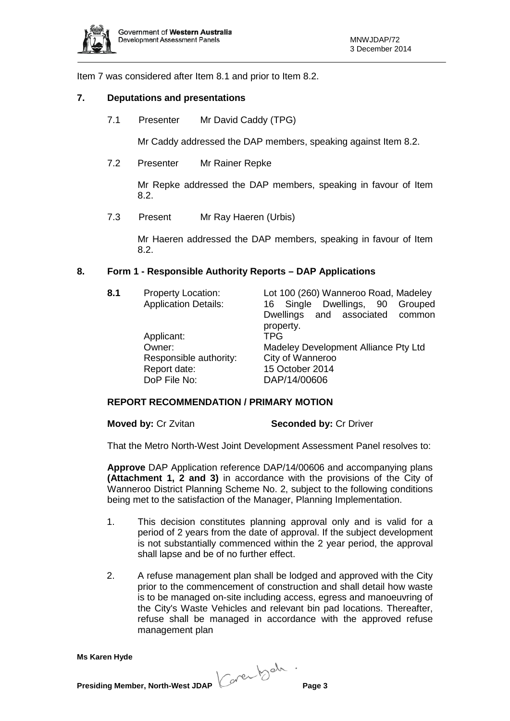

Item 7 was considered after Item 8.1 and prior to Item 8.2.

#### **7. Deputations and presentations**

7.1 Presenter Mr David Caddy (TPG)

Mr Caddy addressed the DAP members, speaking against Item 8.2.

7.2 Presenter Mr Rainer Repke

Mr Repke addressed the DAP members, speaking in favour of Item 8.2.

7.3 Present Mr Ray Haeren (Urbis)

Mr Haeren addressed the DAP members, speaking in favour of Item 8.2.

## **8. Form 1 - Responsible Authority Reports – DAP Applications**

| 8.1 | <b>Property Location:</b><br><b>Application Details:</b>         | Lot 100 (260) Wanneroo Road, Madeley<br>16 Single Dwellings, 90 Grouped<br>and associated common<br><b>Dwellings</b><br>property. |
|-----|------------------------------------------------------------------|-----------------------------------------------------------------------------------------------------------------------------------|
|     | Applicant:                                                       | TPG                                                                                                                               |
|     | Owner:<br>Responsible authority:<br>Report date:<br>DoP File No: | Madeley Development Alliance Pty Ltd<br>City of Wanneroo<br>15 October 2014<br>DAP/14/00606                                       |

## **REPORT RECOMMENDATION / PRIMARY MOTION**

**Moved by: Cr Zvitan <b>Seconded by: Cr Driver** 

That the Metro North-West Joint Development Assessment Panel resolves to:

**Approve** DAP Application reference DAP/14/00606 and accompanying plans **(Attachment 1, 2 and 3)** in accordance with the provisions of the City of Wanneroo District Planning Scheme No. 2, subject to the following conditions being met to the satisfaction of the Manager, Planning Implementation.

- 1. This decision constitutes planning approval only and is valid for a period of 2 years from the date of approval. If the subject development is not substantially commenced within the 2 year period, the approval shall lapse and be of no further effect.
- 2. A refuse management plan shall be lodged and approved with the City prior to the commencement of construction and shall detail how waste is to be managed on-site including access, egress and manoeuvring of the City's Waste Vehicles and relevant bin pad locations. Thereafter, refuse shall be managed in accordance with the approved refuse management plan

**Presiding Member, North-West JDAP Context by the Page 3**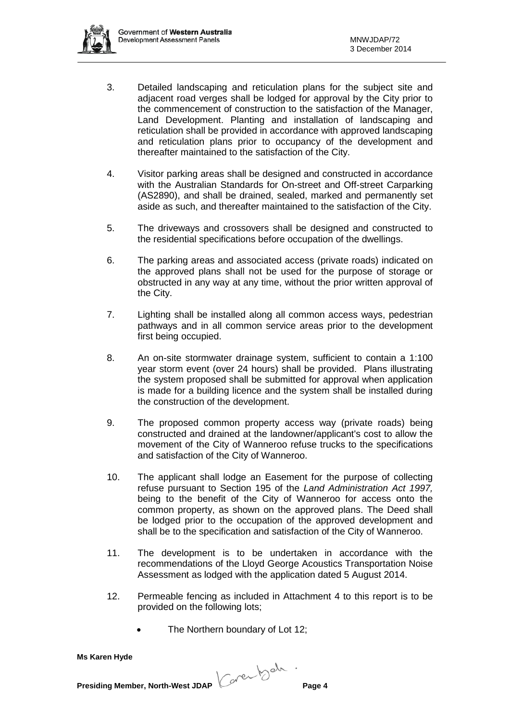- 3. Detailed landscaping and reticulation plans for the subject site and adjacent road verges shall be lodged for approval by the City prior to the commencement of construction to the satisfaction of the Manager, Land Development. Planting and installation of landscaping and reticulation shall be provided in accordance with approved landscaping and reticulation plans prior to occupancy of the development and thereafter maintained to the satisfaction of the City.
- 4. Visitor parking areas shall be designed and constructed in accordance with the Australian Standards for On-street and Off-street Carparking (AS2890), and shall be drained, sealed, marked and permanently set aside as such, and thereafter maintained to the satisfaction of the City.
- 5. The driveways and crossovers shall be designed and constructed to the residential specifications before occupation of the dwellings.
- 6. The parking areas and associated access (private roads) indicated on the approved plans shall not be used for the purpose of storage or obstructed in any way at any time, without the prior written approval of the City.
- 7. Lighting shall be installed along all common access ways, pedestrian pathways and in all common service areas prior to the development first being occupied.
- 8. An on-site stormwater drainage system, sufficient to contain a 1:100 year storm event (over 24 hours) shall be provided. Plans illustrating the system proposed shall be submitted for approval when application is made for a building licence and the system shall be installed during the construction of the development.
- 9. The proposed common property access way (private roads) being constructed and drained at the landowner/applicant's cost to allow the movement of the City of Wanneroo refuse trucks to the specifications and satisfaction of the City of Wanneroo.
- 10. The applicant shall lodge an Easement for the purpose of collecting refuse pursuant to Section 195 of the *Land Administration Act 1997,*  being to the benefit of the City of Wanneroo for access onto the common property, as shown on the approved plans. The Deed shall be lodged prior to the occupation of the approved development and shall be to the specification and satisfaction of the City of Wanneroo.
- 11. The development is to be undertaken in accordance with the recommendations of the Lloyd George Acoustics Transportation Noise Assessment as lodged with the application dated 5 August 2014.
- 12. Permeable fencing as included in Attachment 4 to this report is to be provided on the following lots;
	- The Northern boundary of Lot 12;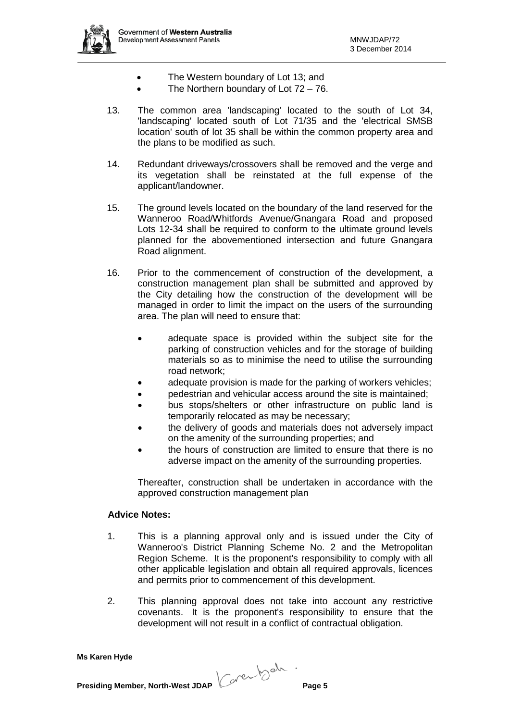

- The Western boundary of Lot 13; and
- The Northern boundary of Lot  $72 76$ .
- 13. The common area 'landscaping' located to the south of Lot 34, 'landscaping' located south of Lot 71/35 and the 'electrical SMSB location' south of lot 35 shall be within the common property area and the plans to be modified as such.
- 14. Redundant driveways/crossovers shall be removed and the verge and its vegetation shall be reinstated at the full expense of the applicant/landowner.
- 15. The ground levels located on the boundary of the land reserved for the Wanneroo Road/Whitfords Avenue/Gnangara Road and proposed Lots 12-34 shall be required to conform to the ultimate ground levels planned for the abovementioned intersection and future Gnangara Road alignment.
- 16. Prior to the commencement of construction of the development, a construction management plan shall be submitted and approved by the City detailing how the construction of the development will be managed in order to limit the impact on the users of the surrounding area. The plan will need to ensure that:
	- adequate space is provided within the subject site for the parking of construction vehicles and for the storage of building materials so as to minimise the need to utilise the surrounding road network;
	- adequate provision is made for the parking of workers vehicles;
	- pedestrian and vehicular access around the site is maintained;
	- bus stops/shelters or other infrastructure on public land is temporarily relocated as may be necessary;
	- the delivery of goods and materials does not adversely impact on the amenity of the surrounding properties; and
	- the hours of construction are limited to ensure that there is no adverse impact on the amenity of the surrounding properties.

Thereafter, construction shall be undertaken in accordance with the approved construction management plan

## **Advice Notes:**

- 1. This is a planning approval only and is issued under the City of Wanneroo's District Planning Scheme No. 2 and the Metropolitan Region Scheme. It is the proponent's responsibility to comply with all other applicable legislation and obtain all required approvals, licences and permits prior to commencement of this development.
- 2. This planning approval does not take into account any restrictive covenants. It is the proponent's responsibility to ensure that the development will not result in a conflict of contractual obligation.

**Ms Karen Hyde**

**Presiding Member, North-West JDAP Page 5**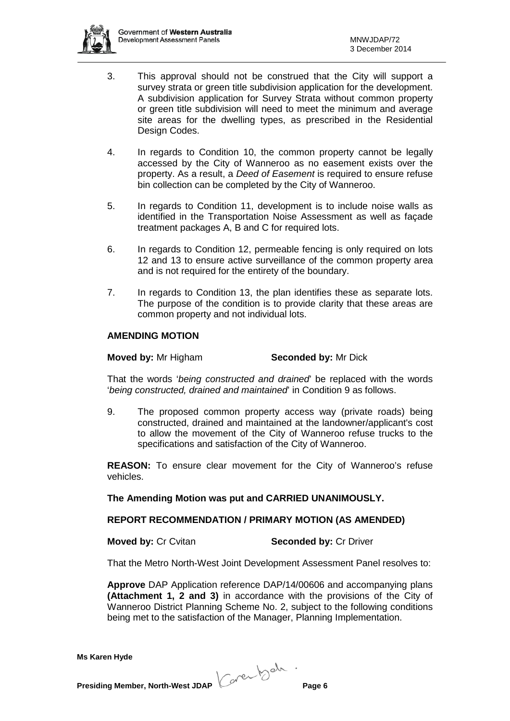

- 3. This approval should not be construed that the City will support a survey strata or green title subdivision application for the development. A subdivision application for Survey Strata without common property or green title subdivision will need to meet the minimum and average site areas for the dwelling types, as prescribed in the Residential Design Codes.
- 4. In regards to Condition 10, the common property cannot be legally accessed by the City of Wanneroo as no easement exists over the property. As a result, a *Deed of Easement* is required to ensure refuse bin collection can be completed by the City of Wanneroo.
- 5. In regards to Condition 11, development is to include noise walls as identified in the Transportation Noise Assessment as well as façade treatment packages A, B and C for required lots.
- 6. In regards to Condition 12, permeable fencing is only required on lots 12 and 13 to ensure active surveillance of the common property area and is not required for the entirety of the boundary.
- 7. In regards to Condition 13, the plan identifies these as separate lots. The purpose of the condition is to provide clarity that these areas are common property and not individual lots.

## **AMENDING MOTION**

#### **Moved by:** Mr Higham **Seconded by:** Mr Dick

That the words '*being constructed and drained*' be replaced with the words '*being constructed, drained and maintained*' in Condition 9 as follows.

9. The proposed common property access way (private roads) being constructed, drained and maintained at the landowner/applicant's cost to allow the movement of the City of Wanneroo refuse trucks to the specifications and satisfaction of the City of Wanneroo.

**REASON:** To ensure clear movement for the City of Wanneroo's refuse vehicles.

#### **The Amending Motion was put and CARRIED UNANIMOUSLY.**

#### **REPORT RECOMMENDATION / PRIMARY MOTION (AS AMENDED)**

**Moved by: Cr Cvitan <b>Seconded by: Cr Driver** 

That the Metro North-West Joint Development Assessment Panel resolves to:

**Approve** DAP Application reference DAP/14/00606 and accompanying plans **(Attachment 1, 2 and 3)** in accordance with the provisions of the City of Wanneroo District Planning Scheme No. 2, subject to the following conditions being met to the satisfaction of the Manager, Planning Implementation.

**Presiding Member, North-West JDAP Context by the Page 6**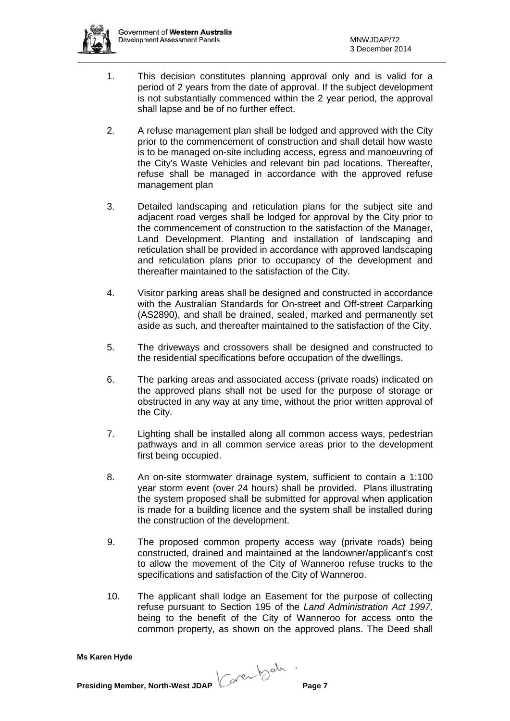

- 1. This decision constitutes planning approval only and is valid for a period of 2 years from the date of approval. If the subject development is not substantially commenced within the 2 year period, the approval shall lapse and be of no further effect.
- 2. A refuse management plan shall be lodged and approved with the City prior to the commencement of construction and shall detail how waste is to be managed on-site including access, egress and manoeuvring of the City's Waste Vehicles and relevant bin pad locations. Thereafter, refuse shall be managed in accordance with the approved refuse management plan
- 3. Detailed landscaping and reticulation plans for the subject site and adjacent road verges shall be lodged for approval by the City prior to the commencement of construction to the satisfaction of the Manager, Land Development. Planting and installation of landscaping and reticulation shall be provided in accordance with approved landscaping and reticulation plans prior to occupancy of the development and thereafter maintained to the satisfaction of the City.
- 4. Visitor parking areas shall be designed and constructed in accordance with the Australian Standards for On-street and Off-street Carparking (AS2890), and shall be drained, sealed, marked and permanently set aside as such, and thereafter maintained to the satisfaction of the City.
- 5. The driveways and crossovers shall be designed and constructed to the residential specifications before occupation of the dwellings.
- 6. The parking areas and associated access (private roads) indicated on the approved plans shall not be used for the purpose of storage or obstructed in any way at any time, without the prior written approval of the City.
- 7. Lighting shall be installed along all common access ways, pedestrian pathways and in all common service areas prior to the development first being occupied.
- 8. An on-site stormwater drainage system, sufficient to contain a 1:100 year storm event (over 24 hours) shall be provided. Plans illustrating the system proposed shall be submitted for approval when application is made for a building licence and the system shall be installed during the construction of the development.
- 9. The proposed common property access way (private roads) being constructed, drained and maintained at the landowner/applicant's cost to allow the movement of the City of Wanneroo refuse trucks to the specifications and satisfaction of the City of Wanneroo.
- 10. The applicant shall lodge an Easement for the purpose of collecting refuse pursuant to Section 195 of the *Land Administration Act 1997,*  being to the benefit of the City of Wanneroo for access onto the common property, as shown on the approved plans. The Deed shall

**Ms Karen Hyde**

**Presiding Member, North-West JDAP Page 7**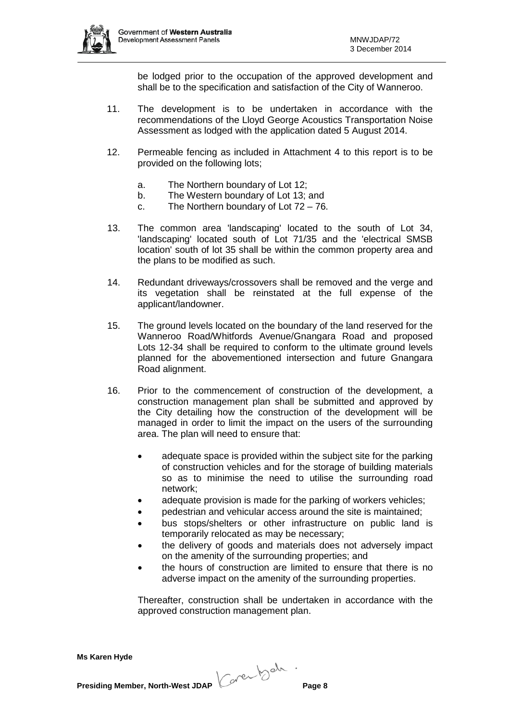

be lodged prior to the occupation of the approved development and shall be to the specification and satisfaction of the City of Wanneroo.

- 11. The development is to be undertaken in accordance with the recommendations of the Lloyd George Acoustics Transportation Noise Assessment as lodged with the application dated 5 August 2014.
- 12. Permeable fencing as included in Attachment 4 to this report is to be provided on the following lots;
	- a. The Northern boundary of Lot 12;
	- b. The Western boundary of Lot 13; and
	- c. The Northern boundary of Lot 72 76.
- 13. The common area 'landscaping' located to the south of Lot 34, 'landscaping' located south of Lot 71/35 and the 'electrical SMSB location' south of lot 35 shall be within the common property area and the plans to be modified as such.
- 14. Redundant driveways/crossovers shall be removed and the verge and its vegetation shall be reinstated at the full expense of the applicant/landowner.
- 15. The ground levels located on the boundary of the land reserved for the Wanneroo Road/Whitfords Avenue/Gnangara Road and proposed Lots 12-34 shall be required to conform to the ultimate ground levels planned for the abovementioned intersection and future Gnangara Road alignment.
- 16. Prior to the commencement of construction of the development, a construction management plan shall be submitted and approved by the City detailing how the construction of the development will be managed in order to limit the impact on the users of the surrounding area. The plan will need to ensure that:
	- adequate space is provided within the subject site for the parking of construction vehicles and for the storage of building materials so as to minimise the need to utilise the surrounding road network;
	- adequate provision is made for the parking of workers vehicles;
	- pedestrian and vehicular access around the site is maintained;
	- bus stops/shelters or other infrastructure on public land is temporarily relocated as may be necessary;
	- the delivery of goods and materials does not adversely impact on the amenity of the surrounding properties; and
	- the hours of construction are limited to ensure that there is no adverse impact on the amenity of the surrounding properties.

Thereafter, construction shall be undertaken in accordance with the approved construction management plan.

**Presiding Member, North-West JDAP Context by the Page 8**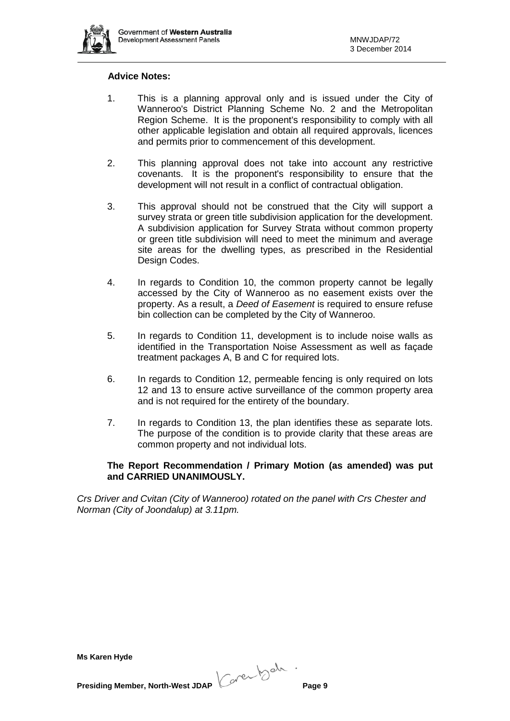

#### **Advice Notes:**

- 1. This is a planning approval only and is issued under the City of Wanneroo's District Planning Scheme No. 2 and the Metropolitan Region Scheme. It is the proponent's responsibility to comply with all other applicable legislation and obtain all required approvals, licences and permits prior to commencement of this development.
- 2. This planning approval does not take into account any restrictive covenants. It is the proponent's responsibility to ensure that the development will not result in a conflict of contractual obligation.
- 3. This approval should not be construed that the City will support a survey strata or green title subdivision application for the development. A subdivision application for Survey Strata without common property or green title subdivision will need to meet the minimum and average site areas for the dwelling types, as prescribed in the Residential Design Codes.
- 4. In regards to Condition 10, the common property cannot be legally accessed by the City of Wanneroo as no easement exists over the property. As a result, a *Deed of Easement* is required to ensure refuse bin collection can be completed by the City of Wanneroo.
- 5. In regards to Condition 11, development is to include noise walls as identified in the Transportation Noise Assessment as well as façade treatment packages A, B and C for required lots.
- 6. In regards to Condition 12, permeable fencing is only required on lots 12 and 13 to ensure active surveillance of the common property area and is not required for the entirety of the boundary.
- 7. In regards to Condition 13, the plan identifies these as separate lots. The purpose of the condition is to provide clarity that these areas are common property and not individual lots.

## **The Report Recommendation / Primary Motion (as amended) was put and CARRIED UNANIMOUSLY.**

*Crs Driver and Cvitan (City of Wanneroo) rotated on the panel with Crs Chester and Norman (City of Joondalup) at 3.11pm.*

|  | Presiding Member, North-West JDAP |
|--|-----------------------------------|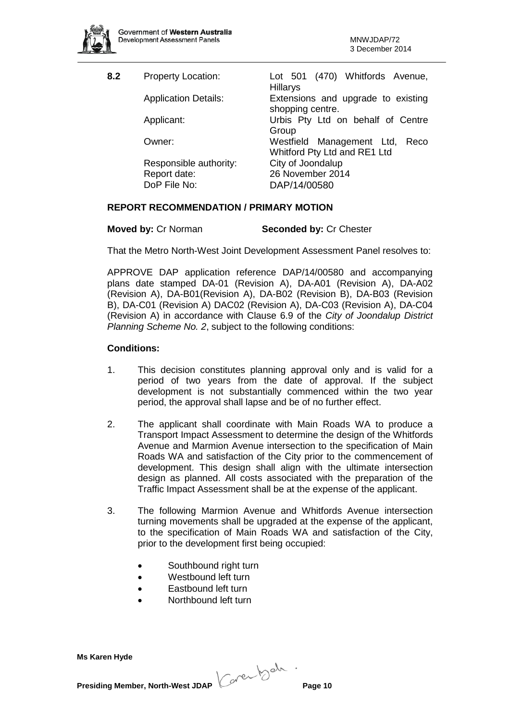

| Lot 501 (470) Whitfords Avenue,<br><b>Property Location:</b><br><b>Hillarys</b>       |
|---------------------------------------------------------------------------------------|
| <b>Application Details:</b><br>Extensions and upgrade to existing<br>shopping centre. |
| Urbis Pty Ltd on behalf of Centre<br>Group                                            |
| Westfield Management Ltd,<br>Reco<br>Whitford Pty Ltd and RE1 Ltd                     |
| City of Joondalup<br>Responsible authority:                                           |
| 26 November 2014                                                                      |
| DAP/14/00580                                                                          |
|                                                                                       |

## **REPORT RECOMMENDATION / PRIMARY MOTION**

| <b>Moved by: Cr Norman</b> | <b>Seconded by: Cr Chester</b> |
|----------------------------|--------------------------------|
|----------------------------|--------------------------------|

That the Metro North-West Joint Development Assessment Panel resolves to:

APPROVE DAP application reference DAP/14/00580 and accompanying plans date stamped DA-01 (Revision A), DA-A01 (Revision A), DA-A02 (Revision A), DA-B01(Revision A), DA-B02 (Revision B), DA-B03 (Revision B), DA-C01 (Revision A) DAC02 (Revision A), DA-C03 (Revision A), DA-C04 (Revision A) in accordance with Clause 6.9 of the *City of Joondalup District Planning Scheme No. 2*, subject to the following conditions:

## **Conditions:**

- 1. This decision constitutes planning approval only and is valid for a period of two years from the date of approval. If the subject development is not substantially commenced within the two year period, the approval shall lapse and be of no further effect.
- 2. The applicant shall coordinate with Main Roads WA to produce a Transport Impact Assessment to determine the design of the Whitfords Avenue and Marmion Avenue intersection to the specification of Main Roads WA and satisfaction of the City prior to the commencement of development. This design shall align with the ultimate intersection design as planned. All costs associated with the preparation of the Traffic Impact Assessment shall be at the expense of the applicant.
- 3. The following Marmion Avenue and Whitfords Avenue intersection turning movements shall be upgraded at the expense of the applicant, to the specification of Main Roads WA and satisfaction of the City, prior to the development first being occupied:
	- Southbound right turn
	- Westbound left turn
	- Eastbound left turn
	- Northbound left turn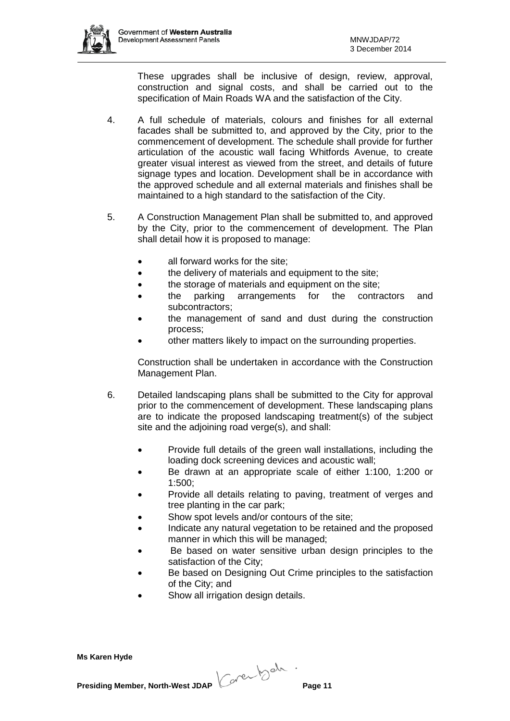

These upgrades shall be inclusive of design, review, approval, construction and signal costs, and shall be carried out to the specification of Main Roads WA and the satisfaction of the City.

- 4. A full schedule of materials, colours and finishes for all external facades shall be submitted to, and approved by the City, prior to the commencement of development. The schedule shall provide for further articulation of the acoustic wall facing Whitfords Avenue, to create greater visual interest as viewed from the street, and details of future signage types and location. Development shall be in accordance with the approved schedule and all external materials and finishes shall be maintained to a high standard to the satisfaction of the City.
- 5. A Construction Management Plan shall be submitted to, and approved by the City, prior to the commencement of development. The Plan shall detail how it is proposed to manage:
	- all forward works for the site;
	- the delivery of materials and equipment to the site;
	- the storage of materials and equipment on the site;
	- the parking arrangements for the contractors and subcontractors;
	- the management of sand and dust during the construction process;
	- other matters likely to impact on the surrounding properties.

Construction shall be undertaken in accordance with the Construction Management Plan.

- 6. Detailed landscaping plans shall be submitted to the City for approval prior to the commencement of development. These landscaping plans are to indicate the proposed landscaping treatment(s) of the subject site and the adjoining road verge(s), and shall:
	- Provide full details of the green wall installations, including the loading dock screening devices and acoustic wall;
	- Be drawn at an appropriate scale of either 1:100, 1:200 or 1:500;
	- Provide all details relating to paving, treatment of verges and tree planting in the car park;
	- Show spot levels and/or contours of the site;
	- Indicate any natural vegetation to be retained and the proposed manner in which this will be managed;
	- Be based on water sensitive urban design principles to the satisfaction of the City;
	- Be based on Designing Out Crime principles to the satisfaction of the City; and
	- Show all irrigation design details.

**Ms Karen Hyde**

**Presiding Member, North-West JDAP Concerned to the Page 11**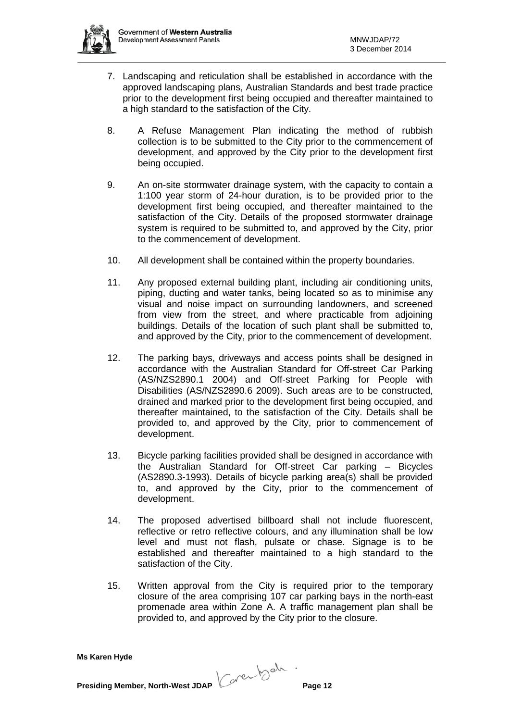

- 7. Landscaping and reticulation shall be established in accordance with the approved landscaping plans, Australian Standards and best trade practice prior to the development first being occupied and thereafter maintained to a high standard to the satisfaction of the City.
- 8. A Refuse Management Plan indicating the method of rubbish collection is to be submitted to the City prior to the commencement of development, and approved by the City prior to the development first being occupied.
- 9. An on-site stormwater drainage system, with the capacity to contain a 1:100 year storm of 24-hour duration, is to be provided prior to the development first being occupied, and thereafter maintained to the satisfaction of the City. Details of the proposed stormwater drainage system is required to be submitted to, and approved by the City, prior to the commencement of development.
- 10. All development shall be contained within the property boundaries.
- 11. Any proposed external building plant, including air conditioning units, piping, ducting and water tanks, being located so as to minimise any visual and noise impact on surrounding landowners, and screened from view from the street, and where practicable from adjoining buildings. Details of the location of such plant shall be submitted to, and approved by the City, prior to the commencement of development.
- 12. The parking bays, driveways and access points shall be designed in accordance with the Australian Standard for Off-street Car Parking (AS/NZS2890.1 2004) and Off-street Parking for People with Disabilities (AS/NZS2890.6 2009). Such areas are to be constructed, drained and marked prior to the development first being occupied, and thereafter maintained, to the satisfaction of the City. Details shall be provided to, and approved by the City, prior to commencement of development.
- 13. Bicycle parking facilities provided shall be designed in accordance with the Australian Standard for Off-street Car parking – Bicycles (AS2890.3-1993). Details of bicycle parking area(s) shall be provided to, and approved by the City, prior to the commencement of development.
- 14. The proposed advertised billboard shall not include fluorescent, reflective or retro reflective colours, and any illumination shall be low level and must not flash, pulsate or chase. Signage is to be established and thereafter maintained to a high standard to the satisfaction of the City.
- 15. Written approval from the City is required prior to the temporary closure of the area comprising 107 car parking bays in the north-east promenade area within Zone A. A traffic management plan shall be provided to, and approved by the City prior to the closure.

**Presiding Member, North-West JDAP Concerned to the Page 12**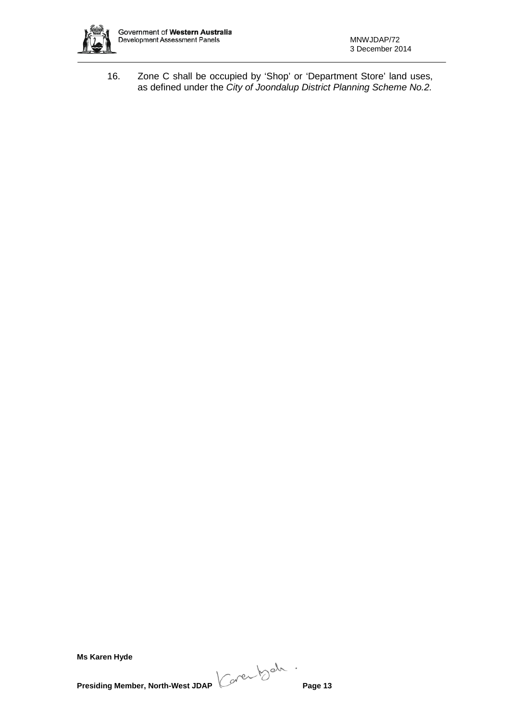

16. Zone C shall be occupied by 'Shop' or 'Department Store' land uses, as defined under the *City of Joondalup District Planning Scheme No.2.*

**Ms Karen Hyde**

**Presiding Member, North-West JDAP Concerned to the Page 13**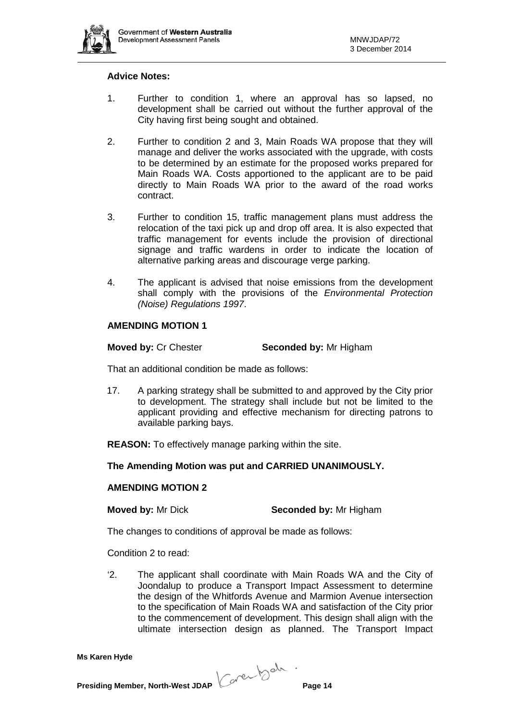

#### **Advice Notes:**

- 1. Further to condition 1, where an approval has so lapsed, no development shall be carried out without the further approval of the City having first being sought and obtained.
- 2. Further to condition 2 and 3, Main Roads WA propose that they will manage and deliver the works associated with the upgrade, with costs to be determined by an estimate for the proposed works prepared for Main Roads WA. Costs apportioned to the applicant are to be paid directly to Main Roads WA prior to the award of the road works contract.
- 3. Further to condition 15, traffic management plans must address the relocation of the taxi pick up and drop off area. It is also expected that traffic management for events include the provision of directional signage and traffic wardens in order to indicate the location of alternative parking areas and discourage verge parking.
- 4. The applicant is advised that noise emissions from the development shall comply with the provisions of the *Environmental Protection (Noise) Regulations 1997*.

### **AMENDING MOTION 1**

**Moved by:** Cr Chester **Seconded by:** Mr Higham

That an additional condition be made as follows:

17. A parking strategy shall be submitted to and approved by the City prior to development. The strategy shall include but not be limited to the applicant providing and effective mechanism for directing patrons to available parking bays.

**REASON:** To effectively manage parking within the site.

#### **The Amending Motion was put and CARRIED UNANIMOUSLY.**

#### **AMENDING MOTION 2**

**Moved by:** Mr Dick **Seconded by:** Mr Higham

The changes to conditions of approval be made as follows:

Condition 2 to read:

'2. The applicant shall coordinate with Main Roads WA and the City of Joondalup to produce a Transport Impact Assessment to determine the design of the Whitfords Avenue and Marmion Avenue intersection to the specification of Main Roads WA and satisfaction of the City prior to the commencement of development. This design shall align with the ultimate intersection design as planned. The Transport Impact

**Presiding Member, North-West JDAP Concerned to the Page 14**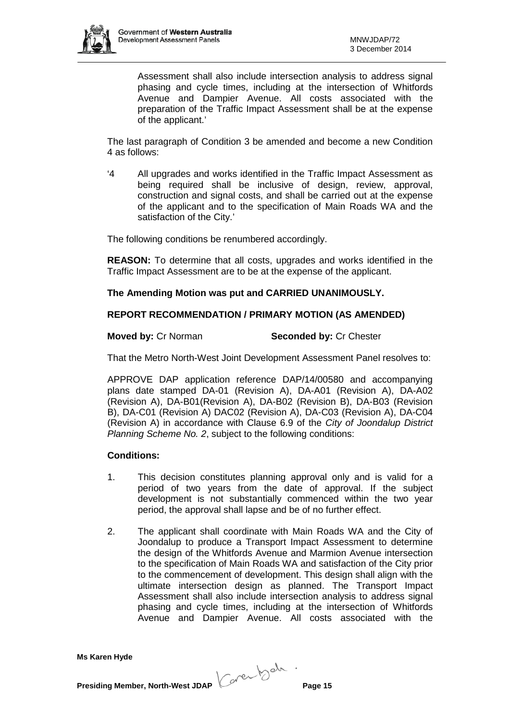

Assessment shall also include intersection analysis to address signal phasing and cycle times, including at the intersection of Whitfords Avenue and Dampier Avenue. All costs associated with the preparation of the Traffic Impact Assessment shall be at the expense of the applicant.'

The last paragraph of Condition 3 be amended and become a new Condition 4 as follows:

'4 All upgrades and works identified in the Traffic Impact Assessment as being required shall be inclusive of design, review, approval, construction and signal costs, and shall be carried out at the expense of the applicant and to the specification of Main Roads WA and the satisfaction of the City.'

The following conditions be renumbered accordingly.

**REASON:** To determine that all costs, upgrades and works identified in the Traffic Impact Assessment are to be at the expense of the applicant.

## **The Amending Motion was put and CARRIED UNANIMOUSLY.**

## **REPORT RECOMMENDATION / PRIMARY MOTION (AS AMENDED)**

#### **Moved by: Cr Norman <b>Seconded by: Cr Chester**

That the Metro North-West Joint Development Assessment Panel resolves to:

APPROVE DAP application reference DAP/14/00580 and accompanying plans date stamped DA-01 (Revision A), DA-A01 (Revision A), DA-A02 (Revision A), DA-B01(Revision A), DA-B02 (Revision B), DA-B03 (Revision B), DA-C01 (Revision A) DAC02 (Revision A), DA-C03 (Revision A), DA-C04 (Revision A) in accordance with Clause 6.9 of the *City of Joondalup District Planning Scheme No. 2*, subject to the following conditions:

#### **Conditions:**

- 1. This decision constitutes planning approval only and is valid for a period of two years from the date of approval. If the subject development is not substantially commenced within the two year period, the approval shall lapse and be of no further effect.
- 2. The applicant shall coordinate with Main Roads WA and the City of Joondalup to produce a Transport Impact Assessment to determine the design of the Whitfords Avenue and Marmion Avenue intersection to the specification of Main Roads WA and satisfaction of the City prior to the commencement of development. This design shall align with the ultimate intersection design as planned. The Transport Impact Assessment shall also include intersection analysis to address signal phasing and cycle times, including at the intersection of Whitfords Avenue and Dampier Avenue. All costs associated with the

**Presiding Member, North-West JDAP Concerned to the Page 15**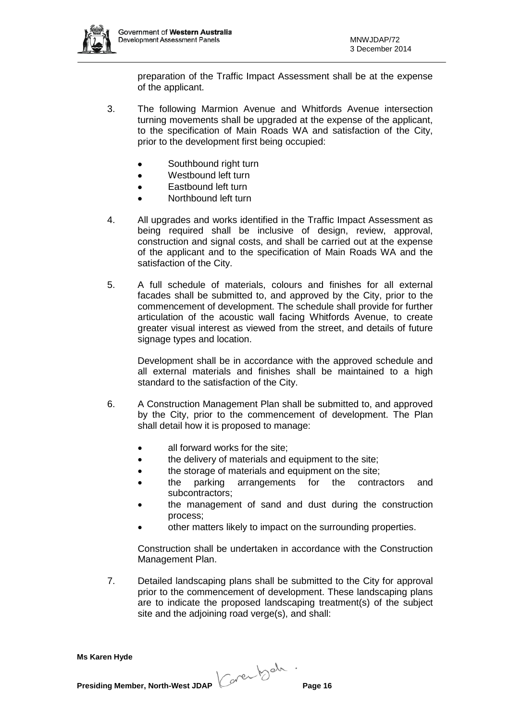

preparation of the Traffic Impact Assessment shall be at the expense of the applicant.

- 3. The following Marmion Avenue and Whitfords Avenue intersection turning movements shall be upgraded at the expense of the applicant, to the specification of Main Roads WA and satisfaction of the City, prior to the development first being occupied:
	- Southbound right turn
	- Westbound left turn
	- Eastbound left turn
	- Northbound left turn
- 4. All upgrades and works identified in the Traffic Impact Assessment as being required shall be inclusive of design, review, approval, construction and signal costs, and shall be carried out at the expense of the applicant and to the specification of Main Roads WA and the satisfaction of the City.
- 5. A full schedule of materials, colours and finishes for all external facades shall be submitted to, and approved by the City, prior to the commencement of development. The schedule shall provide for further articulation of the acoustic wall facing Whitfords Avenue, to create greater visual interest as viewed from the street, and details of future signage types and location.

Development shall be in accordance with the approved schedule and all external materials and finishes shall be maintained to a high standard to the satisfaction of the City.

- 6. A Construction Management Plan shall be submitted to, and approved by the City, prior to the commencement of development. The Plan shall detail how it is proposed to manage:
	- all forward works for the site;
	- the delivery of materials and equipment to the site;
	- the storage of materials and equipment on the site;
	- the parking arrangements for the contractors and subcontractors;
	- the management of sand and dust during the construction process;
	- other matters likely to impact on the surrounding properties.

Construction shall be undertaken in accordance with the Construction Management Plan.

7. Detailed landscaping plans shall be submitted to the City for approval prior to the commencement of development. These landscaping plans are to indicate the proposed landscaping treatment(s) of the subject site and the adjoining road verge(s), and shall: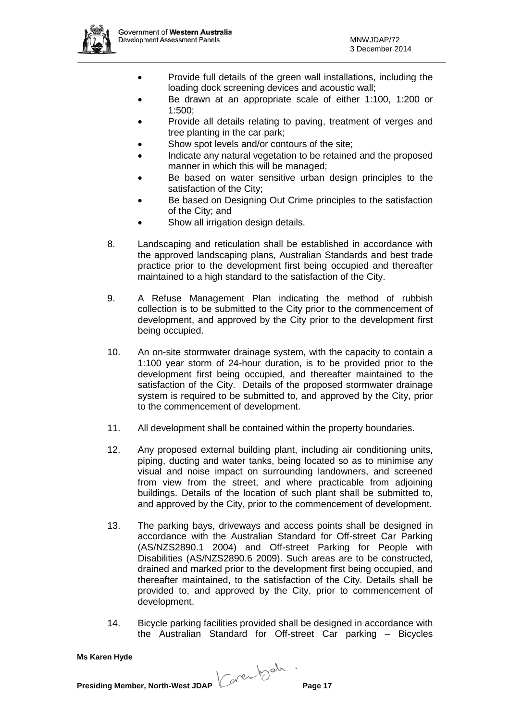

- Provide full details of the green wall installations, including the loading dock screening devices and acoustic wall;
- Be drawn at an appropriate scale of either 1:100, 1:200 or 1:500;
- Provide all details relating to paving, treatment of verges and tree planting in the car park;
- Show spot levels and/or contours of the site:
- Indicate any natural vegetation to be retained and the proposed manner in which this will be managed;
- Be based on water sensitive urban design principles to the satisfaction of the City;
- Be based on Designing Out Crime principles to the satisfaction of the City; and
- Show all irrigation design details.
- 8. Landscaping and reticulation shall be established in accordance with the approved landscaping plans, Australian Standards and best trade practice prior to the development first being occupied and thereafter maintained to a high standard to the satisfaction of the City.
- 9. A Refuse Management Plan indicating the method of rubbish collection is to be submitted to the City prior to the commencement of development, and approved by the City prior to the development first being occupied.
- 10. An on-site stormwater drainage system, with the capacity to contain a 1:100 year storm of 24-hour duration, is to be provided prior to the development first being occupied, and thereafter maintained to the satisfaction of the City. Details of the proposed stormwater drainage system is required to be submitted to, and approved by the City, prior to the commencement of development.
- 11. All development shall be contained within the property boundaries.
- 12. Any proposed external building plant, including air conditioning units, piping, ducting and water tanks, being located so as to minimise any visual and noise impact on surrounding landowners, and screened from view from the street, and where practicable from adjoining buildings. Details of the location of such plant shall be submitted to, and approved by the City, prior to the commencement of development.
- 13. The parking bays, driveways and access points shall be designed in accordance with the Australian Standard for Off-street Car Parking (AS/NZS2890.1 2004) and Off-street Parking for People with Disabilities (AS/NZS2890.6 2009). Such areas are to be constructed, drained and marked prior to the development first being occupied, and thereafter maintained, to the satisfaction of the City. Details shall be provided to, and approved by the City, prior to commencement of development.
- 14. Bicycle parking facilities provided shall be designed in accordance with the Australian Standard for Off-street Car parking – Bicycles

**Presiding Member, North-West JDAP Concerned to the Page 17**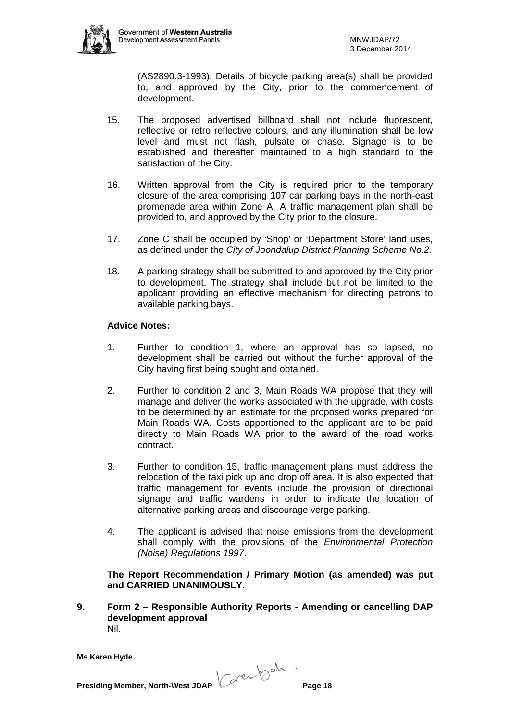

(AS2890.3-1993). Details of bicycle parking area(s) shall be provided to, and approved by the City, prior to the commencement of development.

- 15. The proposed advertised billboard shall not include fluorescent, reflective or retro reflective colours, and any illumination shall be low level and must not flash, pulsate or chase. Signage is to be established and thereafter maintained to a high standard to the satisfaction of the City.
- 16. Written approval from the City is required prior to the temporary closure of the area comprising 107 car parking bays in the north-east promenade area within Zone A. A traffic management plan shall be provided to, and approved by the City prior to the closure.
- 17. Zone C shall be occupied by 'Shop' or 'Department Store' land uses, as defined under the *City of Joondalup District Planning Scheme No.2.*
- 18. A parking strategy shall be submitted to and approved by the City prior to development. The strategy shall include but not be limited to the applicant providing an effective mechanism for directing patrons to available parking bays.

## **Advice Notes:**

- 1. Further to condition 1, where an approval has so lapsed, no development shall be carried out without the further approval of the City having first being sought and obtained.
- 2. Further to condition 2 and 3, Main Roads WA propose that they will manage and deliver the works associated with the upgrade, with costs to be determined by an estimate for the proposed works prepared for Main Roads WA. Costs apportioned to the applicant are to be paid directly to Main Roads WA prior to the award of the road works contract.
- 3. Further to condition 15, traffic management plans must address the relocation of the taxi pick up and drop off area. It is also expected that traffic management for events include the provision of directional signage and traffic wardens in order to indicate the location of alternative parking areas and discourage verge parking.
- 4. The applicant is advised that noise emissions from the development shall comply with the provisions of the *Environmental Protection (Noise) Regulations 1997*.

**The Report Recommendation / Primary Motion (as amended) was put and CARRIED UNANIMOUSLY.**

**9. Form 2 – Responsible Authority Reports - Amending or cancelling DAP development approval** Nil.